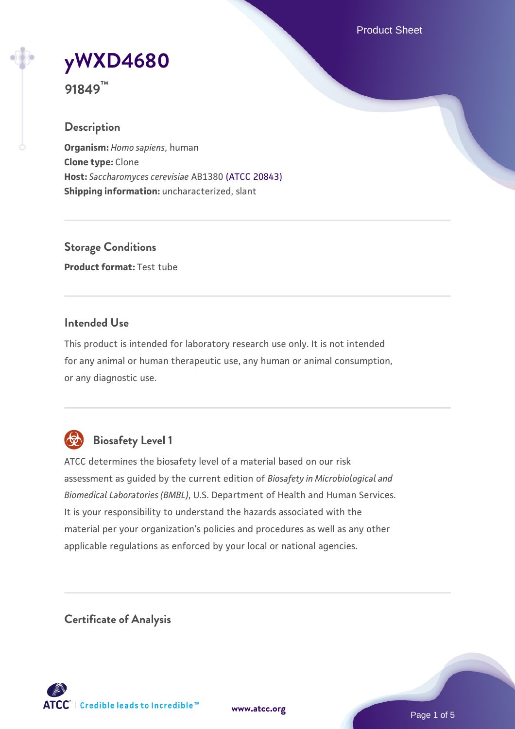Product Sheet

# **[yWXD4680](https://www.atcc.org/products/91849)**

**91849™**

# **Description**

**Organism:** *Homo sapiens*, human **Clone type:** Clone **Host:** *Saccharomyces cerevisiae* AB1380 [\(ATCC 20843\)](https://www.atcc.org/products/20843) **Shipping information:** uncharacterized, slant

**Storage Conditions Product format:** Test tube

# **Intended Use**

This product is intended for laboratory research use only. It is not intended for any animal or human therapeutic use, any human or animal consumption, or any diagnostic use.



# **Biosafety Level 1**

ATCC determines the biosafety level of a material based on our risk assessment as guided by the current edition of *Biosafety in Microbiological and Biomedical Laboratories (BMBL)*, U.S. Department of Health and Human Services. It is your responsibility to understand the hazards associated with the material per your organization's policies and procedures as well as any other applicable regulations as enforced by your local or national agencies.

**Certificate of Analysis**

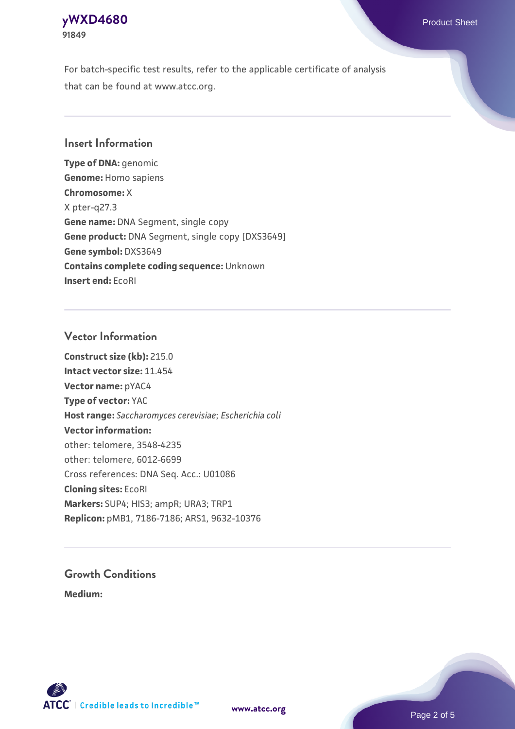## **[yWXD4680](https://www.atcc.org/products/91849)** Product Sheet **91849**

For batch-specific test results, refer to the applicable certificate of analysis that can be found at www.atcc.org.

# **Insert Information**

**Type of DNA:** genomic **Genome:** Homo sapiens **Chromosome:** X X pter-q27.3 **Gene name:** DNA Segment, single copy **Gene product:** DNA Segment, single copy [DXS3649] **Gene symbol:** DXS3649 **Contains complete coding sequence:** Unknown **Insert end:** EcoRI

# **Vector Information**

**Construct size (kb):** 215.0 **Intact vector size:** 11.454 **Vector name:** pYAC4 **Type of vector:** YAC **Host range:** *Saccharomyces cerevisiae*; *Escherichia coli* **Vector information:** other: telomere, 3548-4235 other: telomere, 6012-6699 Cross references: DNA Seq. Acc.: U01086 **Cloning sites:** EcoRI **Markers:** SUP4; HIS3; ampR; URA3; TRP1 **Replicon:** pMB1, 7186-7186; ARS1, 9632-10376

# **Growth Conditions**

**Medium:** 



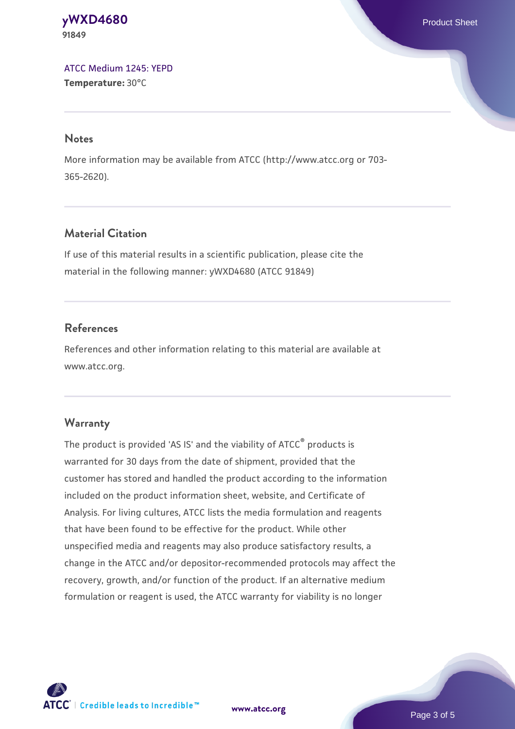#### **[yWXD4680](https://www.atcc.org/products/91849)** Product Sheet **91849**

[ATCC Medium 1245: YEPD](https://www.atcc.org/-/media/product-assets/documents/microbial-media-formulations/1/2/4/5/atcc-medium-1245.pdf?rev=705ca55d1b6f490a808a965d5c072196) **Temperature:** 30°C

#### **Notes**

More information may be available from ATCC (http://www.atcc.org or 703- 365-2620).

# **Material Citation**

If use of this material results in a scientific publication, please cite the material in the following manner: yWXD4680 (ATCC 91849)

# **References**

References and other information relating to this material are available at www.atcc.org.

### **Warranty**

The product is provided 'AS IS' and the viability of ATCC® products is warranted for 30 days from the date of shipment, provided that the customer has stored and handled the product according to the information included on the product information sheet, website, and Certificate of Analysis. For living cultures, ATCC lists the media formulation and reagents that have been found to be effective for the product. While other unspecified media and reagents may also produce satisfactory results, a change in the ATCC and/or depositor-recommended protocols may affect the recovery, growth, and/or function of the product. If an alternative medium formulation or reagent is used, the ATCC warranty for viability is no longer



**[www.atcc.org](http://www.atcc.org)**

Page 3 of 5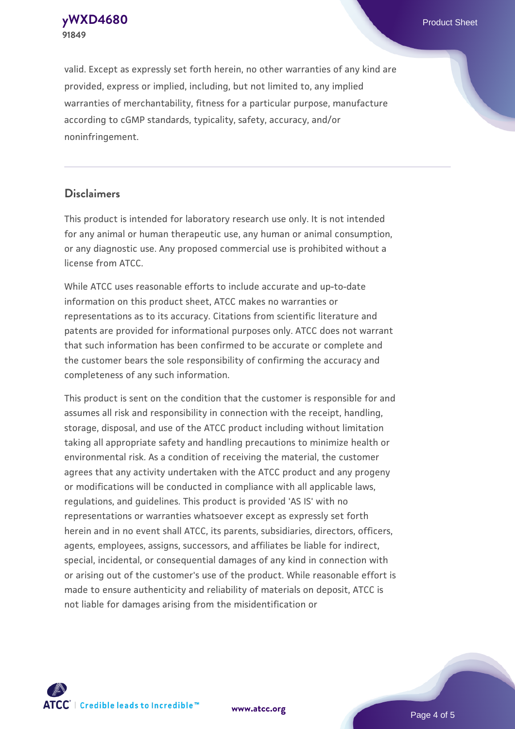**91849**

valid. Except as expressly set forth herein, no other warranties of any kind are provided, express or implied, including, but not limited to, any implied warranties of merchantability, fitness for a particular purpose, manufacture according to cGMP standards, typicality, safety, accuracy, and/or noninfringement.

#### **Disclaimers**

This product is intended for laboratory research use only. It is not intended for any animal or human therapeutic use, any human or animal consumption, or any diagnostic use. Any proposed commercial use is prohibited without a license from ATCC.

While ATCC uses reasonable efforts to include accurate and up-to-date information on this product sheet, ATCC makes no warranties or representations as to its accuracy. Citations from scientific literature and patents are provided for informational purposes only. ATCC does not warrant that such information has been confirmed to be accurate or complete and the customer bears the sole responsibility of confirming the accuracy and completeness of any such information.

This product is sent on the condition that the customer is responsible for and assumes all risk and responsibility in connection with the receipt, handling, storage, disposal, and use of the ATCC product including without limitation taking all appropriate safety and handling precautions to minimize health or environmental risk. As a condition of receiving the material, the customer agrees that any activity undertaken with the ATCC product and any progeny or modifications will be conducted in compliance with all applicable laws, regulations, and guidelines. This product is provided 'AS IS' with no representations or warranties whatsoever except as expressly set forth herein and in no event shall ATCC, its parents, subsidiaries, directors, officers, agents, employees, assigns, successors, and affiliates be liable for indirect, special, incidental, or consequential damages of any kind in connection with or arising out of the customer's use of the product. While reasonable effort is made to ensure authenticity and reliability of materials on deposit, ATCC is not liable for damages arising from the misidentification or



**[www.atcc.org](http://www.atcc.org)**

Page 4 of 5